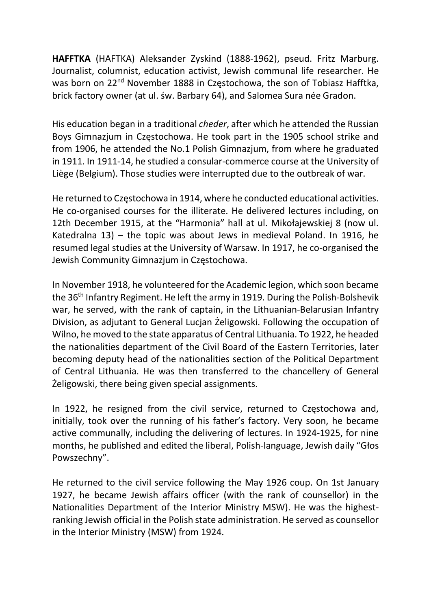HAFFTKA (HAFTKA) Aleksander Zyskind (1888-1962), pseud. Fritz Marburg. Journalist, columnist, education activist, Jewish communal life researcher. He was born on 22<sup>nd</sup> November 1888 in Częstochowa, the son of Tobiasz Hafftka, brick factory owner (at ul. św. Barbary 64), and Salomea Sura née Gradon.

His education began in a traditional cheder, after which he attended the Russian Boys Gimnazjum in Częstochowa. He took part in the 1905 school strike and from 1906, he attended the No.1 Polish Gimnazjum, from where he graduated in 1911. In 1911-14, he studied a consular-commerce course at the University of Liège (Belgium). Those studies were interrupted due to the outbreak of war.

He returned to Częstochowa in 1914, where he conducted educational activities. He co-organised courses for the illiterate. He delivered lectures including, on 12th December 1915, at the "Harmonia" hall at ul. Mikołajewskiej 8 (now ul. Katedralna 13) – the topic was about Jews in medieval Poland. In 1916, he resumed legal studies at the University of Warsaw. In 1917, he co-organised the Jewish Community Gimnazjum in Częstochowa.

In November 1918, he volunteered for the Academic legion, which soon became the 36<sup>th</sup> Infantry Regiment. He left the army in 1919. During the Polish-Bolshevik war, he served, with the rank of captain, in the Lithuanian-Belarusian Infantry Division, as adjutant to General Lucjan Żeligowski. Following the occupation of Wilno, he moved to the state apparatus of Central Lithuania. To 1922, he headed the nationalities department of the Civil Board of the Eastern Territories, later becoming deputy head of the nationalities section of the Political Department of Central Lithuania. He was then transferred to the chancellery of General Żeligowski, there being given special assignments.

In 1922, he resigned from the civil service, returned to Częstochowa and, initially, took over the running of his father's factory. Very soon, he became active communally, including the delivering of lectures. In 1924-1925, for nine months, he published and edited the liberal, Polish-language, Jewish daily "Głos Powszechny".

He returned to the civil service following the May 1926 coup. On 1st January 1927, he became Jewish affairs officer (with the rank of counsellor) in the Nationalities Department of the Interior Ministry MSW). He was the highestranking Jewish official in the Polish state administration. He served as counsellor in the Interior Ministry (MSW) from 1924.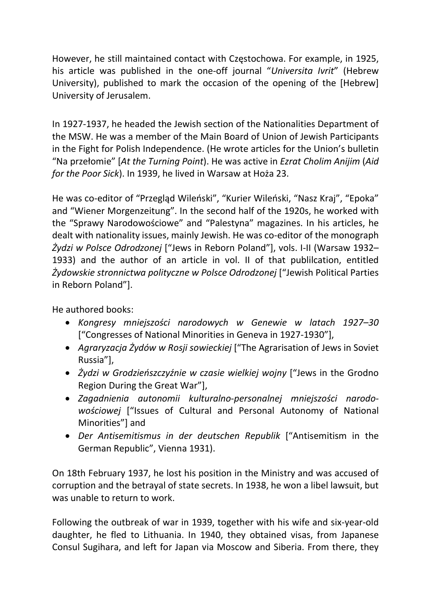However, he still maintained contact with Częstochowa. For example, in 1925, his article was published in the one-off journal "Universita Ivrit" (Hebrew University), published to mark the occasion of the opening of the [Hebrew] University of Jerusalem.

In 1927-1937, he headed the Jewish section of the Nationalities Department of the MSW. He was a member of the Main Board of Union of Jewish Participants in the Fight for Polish Independence. (He wrote articles for the Union's bulletin "Na przełomie" [At the Turning Point). He was active in Ezrat Cholim Anijim (Aid for the Poor Sick). In 1939, he lived in Warsaw at Hoża 23.

He was co-editor of "Przegląd Wileński", "Kurier Wileński, "Nasz Kraj", "Epoka" and "Wiener Morgenzeitung". In the second half of the 1920s, he worked with the "Sprawy Narodowościowe" and "Palestyna" magazines. In his articles, he dealt with nationality issues, mainly Jewish. He was co-editor of the monograph Żydzi w Polsce Odrodzonej ["Jews in Reborn Poland"], vols. I-II (Warsaw 1932– 1933) and the author of an article in vol. II of that publilcation, entitled Żydowskie stronnictwa polityczne w Polsce Odrodzonej ["Jewish Political Parties in Reborn Poland"].

He authored books:

- Kongresy mniejszości narodowych w Genewie w latach 1927–30 ["Congresses of National Minorities in Geneva in 1927-1930"],
- Agraryzacja Żydów w Rosji sowieckiej ["The Agrarisation of Jews in Soviet Russia"],
- Żydzi w Grodzieńszczyźnie w czasie wielkiej wojny ["Jews in the Grodno Region During the Great War"],
- Zagadnienia autonomii kulturalno-personalnej mniejszości narodowościowej ["Issues of Cultural and Personal Autonomy of National Minorities"] and
- Der Antisemitismus in der deutschen Republik ["Antisemitism in the German Republic", Vienna 1931).

On 18th February 1937, he lost his position in the Ministry and was accused of corruption and the betrayal of state secrets. In 1938, he won a libel lawsuit, but was unable to return to work.

Following the outbreak of war in 1939, together with his wife and six-year-old daughter, he fled to Lithuania. In 1940, they obtained visas, from Japanese Consul Sugihara, and left for Japan via Moscow and Siberia. From there, they